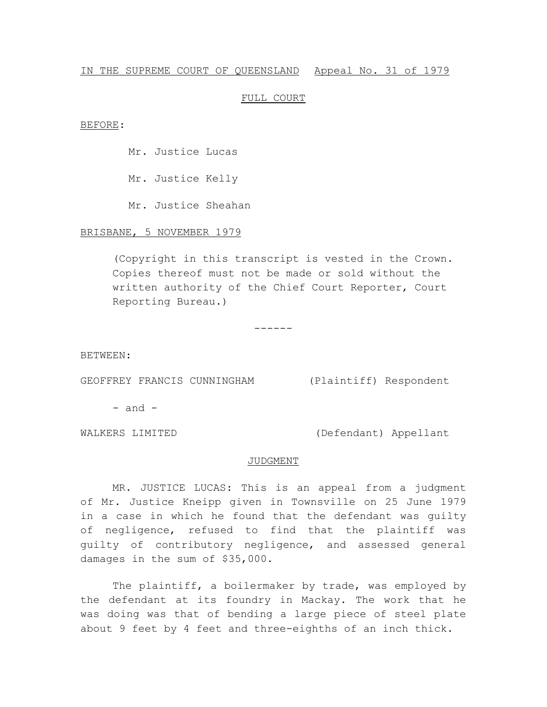## IN THE SUPREME COURT OF QUEENSLAND Appeal No. 31 of 1979

## FULL COURT

#### BEFORE:

Mr. Justice Lucas

Mr. Justice Kelly

Mr. Justice Sheahan

# BRISBANE, 5 NOVEMBER 1979

(Copyright in this transcript is vested in the Crown. Copies thereof must not be made or sold without the written authority of the Chief Court Reporter, Court Reporting Bureau.)

------

BETWEEN:

GEOFFREY FRANCIS CUNNINGHAM (Plaintiff) Respondent

 $-$  and  $-$ 

WALKERS LIMITED (Defendant) Appellant

### JUDGMENT

MR. JUSTICE LUCAS: This is an appeal from a judgment of Mr. Justice Kneipp given in Townsville on 25 June 1979 in a case in which he found that the defendant was guilty of negligence, refused to find that the plaintiff was guilty of contributory negligence, and assessed general damages in the sum of \$35,000.

The plaintiff, a boilermaker by trade, was employed by the defendant at its foundry in Mackay. The work that he was doing was that of bending a large piece of steel plate about 9 feet by 4 feet and three-eighths of an inch thick.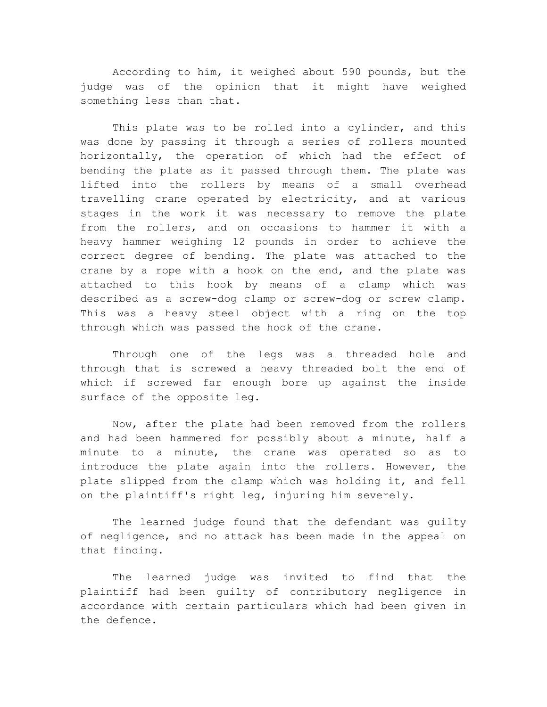According to him, it weighed about 590 pounds, but the judge was of the opinion that it might have weighed something less than that.

This plate was to be rolled into a cylinder, and this was done by passing it through a series of rollers mounted horizontally, the operation of which had the effect of bending the plate as it passed through them. The plate was lifted into the rollers by means of a small overhead travelling crane operated by electricity, and at various stages in the work it was necessary to remove the plate from the rollers, and on occasions to hammer it with a heavy hammer weighing 12 pounds in order to achieve the correct degree of bending. The plate was attached to the crane by a rope with a hook on the end, and the plate was attached to this hook by means of a clamp which was described as a screw-dog clamp or screw-dog or screw clamp. This was a heavy steel object with a ring on the top through which was passed the hook of the crane.

Through one of the legs was a threaded hole and through that is screwed a heavy threaded bolt the end of which if screwed far enough bore up against the inside surface of the opposite leg.

Now, after the plate had been removed from the rollers and had been hammered for possibly about a minute, half a minute to a minute, the crane was operated so as to introduce the plate again into the rollers. However, the plate slipped from the clamp which was holding it, and fell on the plaintiff's right leg, injuring him severely.

The learned judge found that the defendant was guilty of negligence, and no attack has been made in the appeal on that finding.

The learned judge was invited to find that the plaintiff had been guilty of contributory negligence in accordance with certain particulars which had been given in the defence.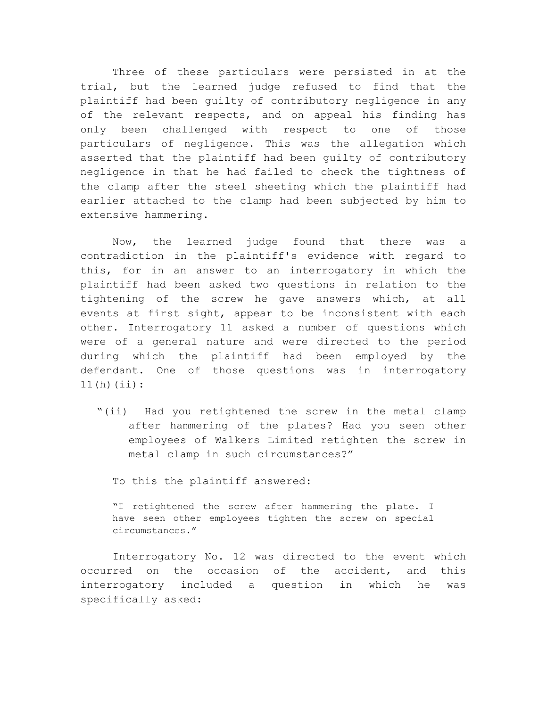Three of these particulars were persisted in at the trial, but the learned judge refused to find that the plaintiff had been guilty of contributory negligence in any of the relevant respects, and on appeal his finding has only been challenged with respect to one of those particulars of negligence. This was the allegation which asserted that the plaintiff had been guilty of contributory negligence in that he had failed to check the tightness of the clamp after the steel sheeting which the plaintiff had earlier attached to the clamp had been subjected by him to extensive hammering.

Now, the learned judge found that there was a contradiction in the plaintiff's evidence with regard to this, for in an answer to an interrogatory in which the plaintiff had been asked two questions in relation to the tightening of the screw he gave answers which, at all events at first sight, appear to be inconsistent with each other. Interrogatory 11 asked a number of questions which were of a general nature and were directed to the period during which the plaintiff had been employed by the defendant. One of those questions was in interrogatory 11(h)(ii):

"(ii) Had you retightened the screw in the metal clamp after hammering of the plates? Had you seen other employees of Walkers Limited retighten the screw in metal clamp in such circumstances?"

To this the plaintiff answered:

"I retightened the screw after hammering the plate. I have seen other employees tighten the screw on special circumstances."

Interrogatory No. 12 was directed to the event which occurred on the occasion of the accident, and this interrogatory included a question in which he was specifically asked: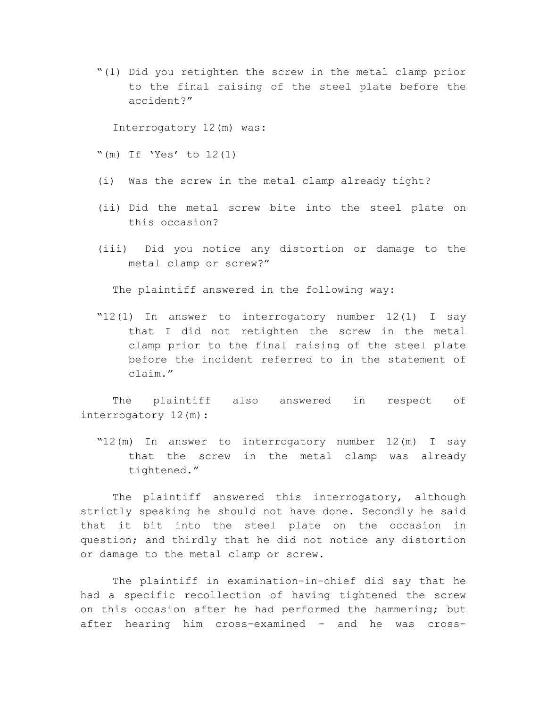"(1) Did you retighten the screw in the metal clamp prior to the final raising of the steel plate before the accident?"

Interrogatory 12(m) was:

- "(m) If 'Yes' to  $12(1)$
- (i) Was the screw in the metal clamp already tight?
- (ii) Did the metal screw bite into the steel plate on this occasion?
- (iii) Did you notice any distortion or damage to the metal clamp or screw?"

The plaintiff answered in the following way:

"12(1) In answer to interrogatory number 12(1) I say that I did not retighten the screw in the metal clamp prior to the final raising of the steel plate before the incident referred to in the statement of claim."

The plaintiff also answered in respect of interrogatory 12(m):

"12(m) In answer to interrogatory number 12(m) I say that the screw in the metal clamp was already tightened."

The plaintiff answered this interrogatory, although strictly speaking he should not have done. Secondly he said that it bit into the steel plate on the occasion in question; and thirdly that he did not notice any distortion or damage to the metal clamp or screw.

The plaintiff in examination-in-chief did say that he had a specific recollection of having tightened the screw on this occasion after he had performed the hammering; but after hearing him cross-examined - and he was cross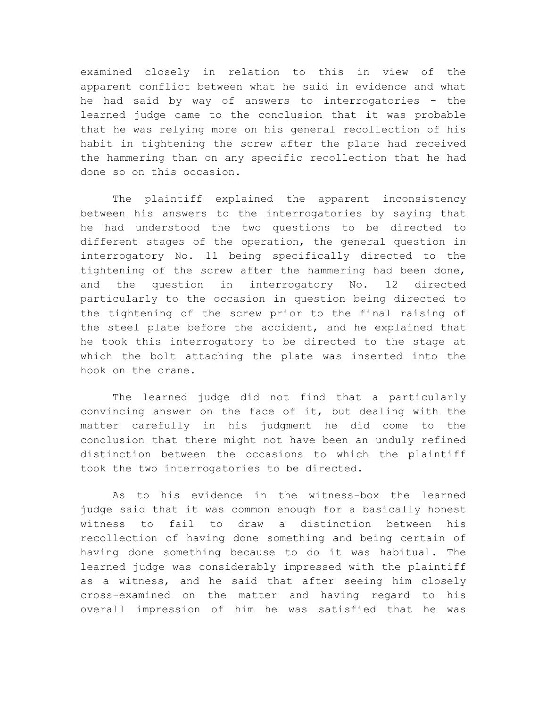examined closely in relation to this in view of the apparent conflict between what he said in evidence and what he had said by way of answers to interrogatories - the learned judge came to the conclusion that it was probable that he was relying more on his general recollection of his habit in tightening the screw after the plate had received the hammering than on any specific recollection that he had done so on this occasion.

The plaintiff explained the apparent inconsistency between his answers to the interrogatories by saying that he had understood the two questions to be directed to different stages of the operation, the general question in interrogatory No. 11 being specifically directed to the tightening of the screw after the hammering had been done, and the question in interrogatory No. 12 directed particularly to the occasion in question being directed to the tightening of the screw prior to the final raising of the steel plate before the accident, and he explained that he took this interrogatory to be directed to the stage at which the bolt attaching the plate was inserted into the hook on the crane.

The learned judge did not find that a particularly convincing answer on the face of it, but dealing with the matter carefully in his judgment he did come to the conclusion that there might not have been an unduly refined distinction between the occasions to which the plaintiff took the two interrogatories to be directed.

As to his evidence in the witness-box the learned judge said that it was common enough for a basically honest witness to fail to draw a distinction between his recollection of having done something and being certain of having done something because to do it was habitual. The learned judge was considerably impressed with the plaintiff as a witness, and he said that after seeing him closely cross-examined on the matter and having regard to his overall impression of him he was satisfied that he was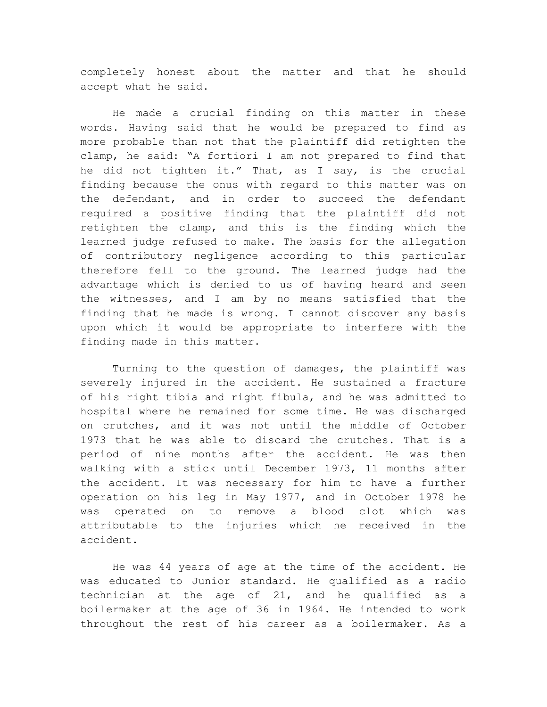completely honest about the matter and that he should accept what he said.

He made a crucial finding on this matter in these words. Having said that he would be prepared to find as more probable than not that the plaintiff did retighten the clamp, he said: "A fortiori I am not prepared to find that he did not tighten it." That, as I say, is the crucial finding because the onus with regard to this matter was on the defendant, and in order to succeed the defendant required a positive finding that the plaintiff did not retighten the clamp, and this is the finding which the learned judge refused to make. The basis for the allegation of contributory negligence according to this particular therefore fell to the ground. The learned judge had the advantage which is denied to us of having heard and seen the witnesses, and I am by no means satisfied that the finding that he made is wrong. I cannot discover any basis upon which it would be appropriate to interfere with the finding made in this matter.

Turning to the question of damages, the plaintiff was severely injured in the accident. He sustained a fracture of his right tibia and right fibula, and he was admitted to hospital where he remained for some time. He was discharged on crutches, and it was not until the middle of October 1973 that he was able to discard the crutches. That is a period of nine months after the accident. He was then walking with a stick until December 1973, 11 months after the accident. It was necessary for him to have a further operation on his leg in May 1977, and in October 1978 he was operated on to remove a blood clot which was attributable to the injuries which he received in the accident.

He was 44 years of age at the time of the accident. He was educated to Junior standard. He qualified as a radio technician at the age of 21, and he qualified as a boilermaker at the age of 36 in 1964. He intended to work throughout the rest of his career as a boilermaker. As a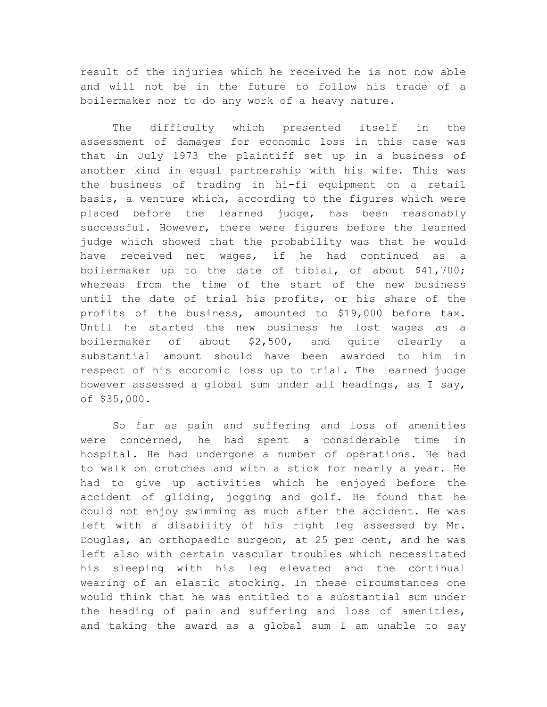result of the injuries which he received he is not now able and will not be in the future to follow his trade of a boilermaker nor to do any work of a heavy nature.

The difficulty which presented itself in the assessment of damages for economic loss in this case was that in July 1973 the plaintiff set up in a business of another kind in equal partnership with his wife. This was the business of trading in hi-fi equipment on a retail basis, a venture which, according to the figures which were placed before the learned judge, has been reasonably successful. However, there were figures before the learned judge which showed that the probability was that he would have received net wages, if he had continued as a boilermaker up to the date of tibial, of about \$41,700; whereas from the time of the start of the new business until the date of trial his profits, or his share of the profits of the business, amounted to \$19,000 before tax. Until he started the new business he lost wages as a boilermaker of about \$2,500, and quite clearly a substantial amount should have been awarded to him in respect of his economic loss up to trial. The learned judge however assessed a global sum under all headings, as I say, of \$35,000.

So far as pain and suffering and loss of amenities were concerned, he had spent a considerable time in hospital. He had undergone a number of operations. He had to walk on crutches and with a stick for nearly a year. He had to give up activities which he enjoyed before the accident of gliding, jogging and golf. He found that he could not enjoy swimming as much after the accident. He was left with a disability of his right leg assessed by Mr. Douglas, an orthopaedic surgeon, at 25 per cent, and he was left also with certain vascular troubles which necessitated his sleeping with his leg elevated and the continual wearing of an elastic stocking. In these circumstances one would think that he was entitled to a substantial sum under the heading of pain and suffering and loss of amenities, and taking the award as a global sum I am unable to say